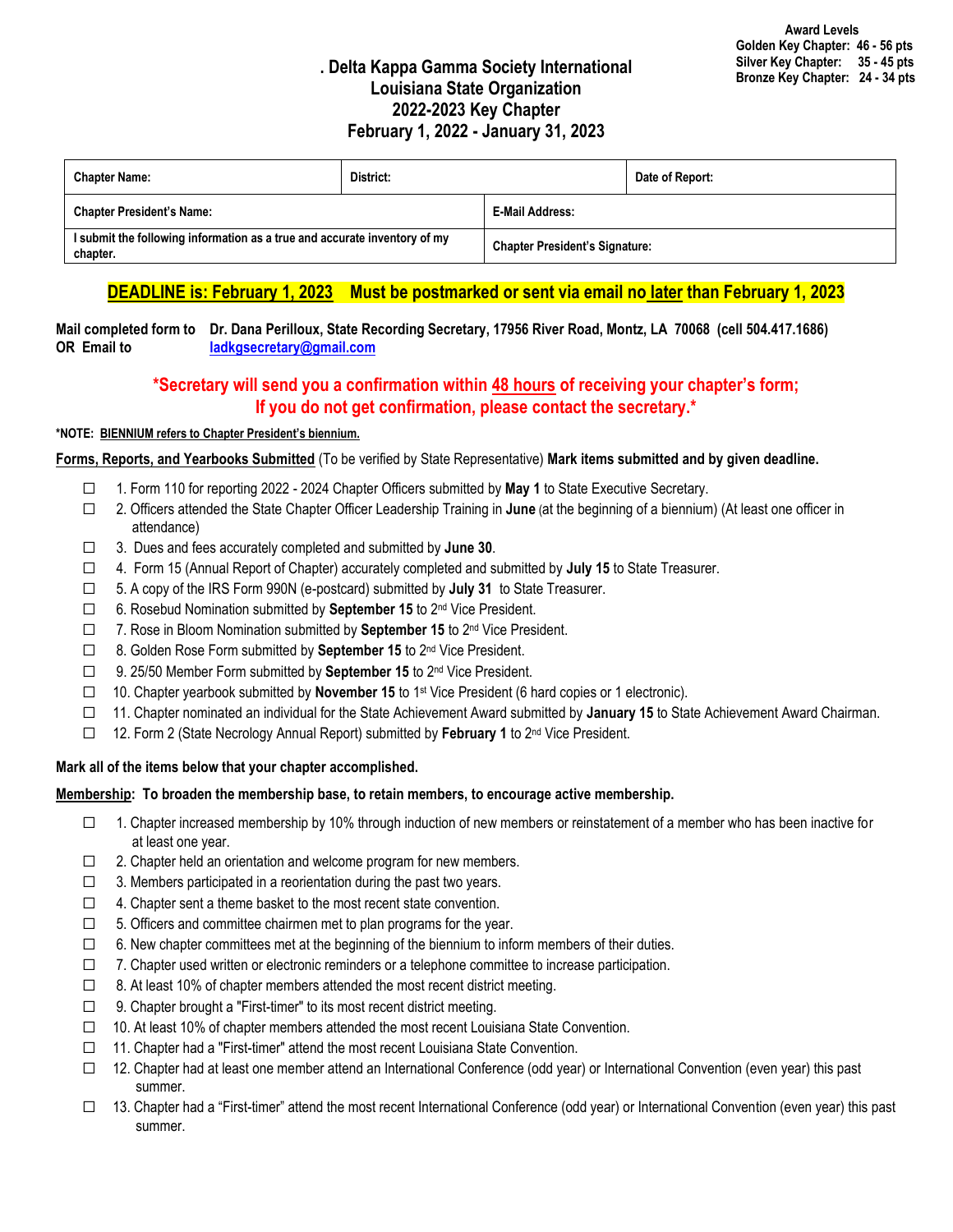# **. Delta Kappa Gamma Society International Louisiana State Organization 2022-2023 Key Chapter February 1, 2022 - January 31, 2023**

| <b>Chapter Name:</b>                                                                  | District: |                                       | Date of Report: |
|---------------------------------------------------------------------------------------|-----------|---------------------------------------|-----------------|
| <b>Chapter President's Name:</b>                                                      |           | E-Mail Address:                       |                 |
| I submit the following information as a true and accurate inventory of my<br>chapter. |           | <b>Chapter President's Signature:</b> |                 |

# **DEADLINE is: February 1, 2023 Must be postmarked or sent via email no later than February 1, 2023**

**Mail completed form to Dr. Dana Perilloux, State Recording Secretary, 17956 River Road, Montz, LA 70068 (cell 504.417.1686) OR Email to [ladkgsecretary@gmail.com](mailto:ladkgsecretary@gmail.com)**

# **\*Secretary will send you a confirmation within 48 hours of receiving your chapter's form; If you do not get confirmation, please contact the secretary.\***

## **\*NOTE: BIENNIUM refers to Chapter President's biennium.**

**Forms, Reports, and Yearbooks Submitted** (To be verified by State Representative) **Mark items submitted and by given deadline.**

- ☐ 1. Form 110 for reporting 2022 2024 Chapter Officers submitted by **May 1** to State Executive Secretary.
- ☐ 2. Officers attended the State Chapter Officer Leadership Training in **June** (at the beginning of a biennium) (At least one officer in attendance)
- ☐ 3. Dues and fees accurately completed and submitted by **June 30**.
- ☐ 4. Form 15 (Annual Report of Chapter) accurately completed and submitted by **July 15** to State Treasurer.
- ☐ 5. A copy of the IRS Form 990N (e-postcard) submitted by **July 31** to State Treasurer.
- ☐ 6. Rosebud Nomination submitted by **September 15** to 2nd Vice President.
- ☐ 7. Rose in Bloom Nomination submitted by **September 15** to 2nd Vice President.
- ☐ 8. Golden Rose Form submitted by **September 15** to 2nd Vice President.
- ☐ 9. 25/50 Member Form submitted by **September 15** to 2nd Vice President.
- ☐ 10. Chapter yearbook submitted by **November 15** to 1st Vice President (6 hard copies or 1 electronic).
- ☐ 11. Chapter nominated an individual for the State Achievement Award submitted by **January 15** to State Achievement Award Chairman.
- ☐ 12. Form 2 (State Necrology Annual Report) submitted by **February 1** to 2nd Vice President.

## **Mark all of the items below that your chapter accomplished.**

#### **Membership: To broaden the membership base, to retain members, to encourage active membership.**

- ☐ 1. Chapter increased membership by 10% through induction of new members or reinstatement of a member who has been inactive for at least one year.
- $\Box$  2. Chapter held an orientation and welcome program for new members.
- $\Box$  3. Members participated in a reorientation during the past two years.
- $\Box$  4. Chapter sent a theme basket to the most recent state convention.
- $\Box$  5. Officers and committee chairmen met to plan programs for the year.
- $\Box$  6. New chapter committees met at the beginning of the biennium to inform members of their duties.
- $\Box$  7. Chapter used written or electronic reminders or a telephone committee to increase participation.
- $\Box$  8. At least 10% of chapter members attended the most recent district meeting.
- ☐ 9. Chapter brought a "First-timer" to its most recent district meeting.
- ☐ 10. At least 10% of chapter members attended the most recent Louisiana State Convention.
- ☐ 11. Chapter had a "First-timer" attend the most recent Louisiana State Convention.
- ☐ 12. Chapter had at least one member attend an International Conference (odd year) or International Convention (even year) this past summer.
- □ 13. Chapter had a "First-timer" attend the most recent International Conference (odd year) or International Convention (even year) this past summer.